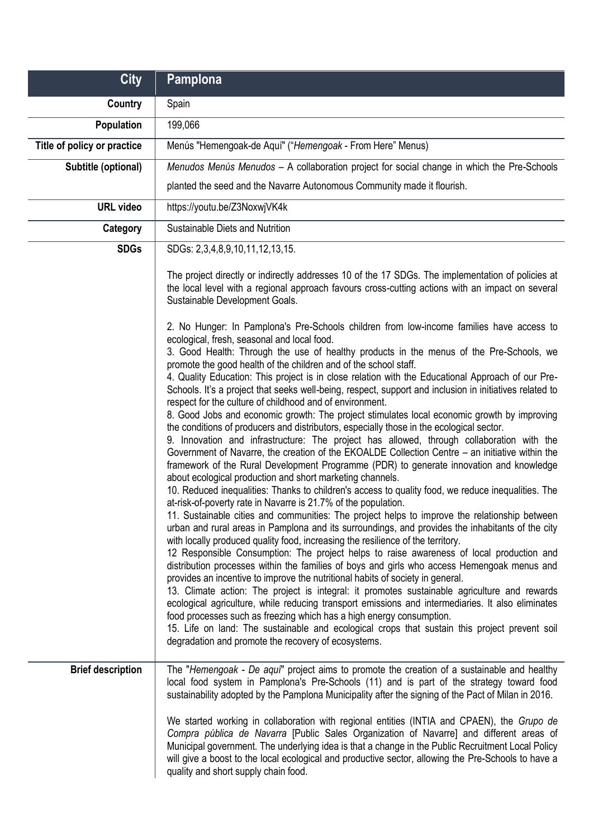| <b>City</b>                 | Pamplona                                                                                                                                                                                                                                                                                                                                                                                                                                                                                                                                                                                                                                                                                                                                                                                                                                                                                                                                                                                                                                                                                                                                                                                                                                                                                                                                                                                                                                                                                                                                                                                                                                                                                                                                                                                                                                                                                                                                                                                                                                                                                                                                                                                                                                                                                                                |
|-----------------------------|-------------------------------------------------------------------------------------------------------------------------------------------------------------------------------------------------------------------------------------------------------------------------------------------------------------------------------------------------------------------------------------------------------------------------------------------------------------------------------------------------------------------------------------------------------------------------------------------------------------------------------------------------------------------------------------------------------------------------------------------------------------------------------------------------------------------------------------------------------------------------------------------------------------------------------------------------------------------------------------------------------------------------------------------------------------------------------------------------------------------------------------------------------------------------------------------------------------------------------------------------------------------------------------------------------------------------------------------------------------------------------------------------------------------------------------------------------------------------------------------------------------------------------------------------------------------------------------------------------------------------------------------------------------------------------------------------------------------------------------------------------------------------------------------------------------------------------------------------------------------------------------------------------------------------------------------------------------------------------------------------------------------------------------------------------------------------------------------------------------------------------------------------------------------------------------------------------------------------------------------------------------------------------------------------------------------------|
| Country                     | Spain                                                                                                                                                                                                                                                                                                                                                                                                                                                                                                                                                                                                                                                                                                                                                                                                                                                                                                                                                                                                                                                                                                                                                                                                                                                                                                                                                                                                                                                                                                                                                                                                                                                                                                                                                                                                                                                                                                                                                                                                                                                                                                                                                                                                                                                                                                                   |
| <b>Population</b>           | 199,066                                                                                                                                                                                                                                                                                                                                                                                                                                                                                                                                                                                                                                                                                                                                                                                                                                                                                                                                                                                                                                                                                                                                                                                                                                                                                                                                                                                                                                                                                                                                                                                                                                                                                                                                                                                                                                                                                                                                                                                                                                                                                                                                                                                                                                                                                                                 |
| Title of policy or practice | Menús "Hemengoak-de Aquí" ("Hemengoak - From Here" Menus)                                                                                                                                                                                                                                                                                                                                                                                                                                                                                                                                                                                                                                                                                                                                                                                                                                                                                                                                                                                                                                                                                                                                                                                                                                                                                                                                                                                                                                                                                                                                                                                                                                                                                                                                                                                                                                                                                                                                                                                                                                                                                                                                                                                                                                                               |
| Subtitle (optional)         | Menudos Menús Menudos - A collaboration project for social change in which the Pre-Schools                                                                                                                                                                                                                                                                                                                                                                                                                                                                                                                                                                                                                                                                                                                                                                                                                                                                                                                                                                                                                                                                                                                                                                                                                                                                                                                                                                                                                                                                                                                                                                                                                                                                                                                                                                                                                                                                                                                                                                                                                                                                                                                                                                                                                              |
|                             | planted the seed and the Navarre Autonomous Community made it flourish.                                                                                                                                                                                                                                                                                                                                                                                                                                                                                                                                                                                                                                                                                                                                                                                                                                                                                                                                                                                                                                                                                                                                                                                                                                                                                                                                                                                                                                                                                                                                                                                                                                                                                                                                                                                                                                                                                                                                                                                                                                                                                                                                                                                                                                                 |
| <b>URL</b> video            | https://youtu.be/Z3NoxwjVK4k                                                                                                                                                                                                                                                                                                                                                                                                                                                                                                                                                                                                                                                                                                                                                                                                                                                                                                                                                                                                                                                                                                                                                                                                                                                                                                                                                                                                                                                                                                                                                                                                                                                                                                                                                                                                                                                                                                                                                                                                                                                                                                                                                                                                                                                                                            |
| Category                    | Sustainable Diets and Nutrition                                                                                                                                                                                                                                                                                                                                                                                                                                                                                                                                                                                                                                                                                                                                                                                                                                                                                                                                                                                                                                                                                                                                                                                                                                                                                                                                                                                                                                                                                                                                                                                                                                                                                                                                                                                                                                                                                                                                                                                                                                                                                                                                                                                                                                                                                         |
| <b>SDGs</b>                 | SDGs: 2,3,4,8,9,10,11,12,13,15.                                                                                                                                                                                                                                                                                                                                                                                                                                                                                                                                                                                                                                                                                                                                                                                                                                                                                                                                                                                                                                                                                                                                                                                                                                                                                                                                                                                                                                                                                                                                                                                                                                                                                                                                                                                                                                                                                                                                                                                                                                                                                                                                                                                                                                                                                         |
|                             | The project directly or indirectly addresses 10 of the 17 SDGs. The implementation of policies at<br>the local level with a regional approach favours cross-cutting actions with an impact on several<br>Sustainable Development Goals.                                                                                                                                                                                                                                                                                                                                                                                                                                                                                                                                                                                                                                                                                                                                                                                                                                                                                                                                                                                                                                                                                                                                                                                                                                                                                                                                                                                                                                                                                                                                                                                                                                                                                                                                                                                                                                                                                                                                                                                                                                                                                 |
|                             | 2. No Hunger: In Pamplona's Pre-Schools children from low-income families have access to<br>ecological, fresh, seasonal and local food.<br>3. Good Health: Through the use of healthy products in the menus of the Pre-Schools, we<br>promote the good health of the children and of the school staff.<br>4. Quality Education: This project is in close relation with the Educational Approach of our Pre-<br>Schools. It's a project that seeks well-being, respect, support and inclusion in initiatives related to<br>respect for the culture of childhood and of environment.<br>8. Good Jobs and economic growth: The project stimulates local economic growth by improving<br>the conditions of producers and distributors, especially those in the ecological sector.<br>9. Innovation and infrastructure: The project has allowed, through collaboration with the<br>Government of Navarre, the creation of the EKOALDE Collection Centre – an initiative within the<br>framework of the Rural Development Programme (PDR) to generate innovation and knowledge<br>about ecological production and short marketing channels.<br>10. Reduced inequalities: Thanks to children's access to quality food, we reduce inequalities. The<br>at-risk-of-poverty rate in Navarre is 21.7% of the population.<br>11. Sustainable cities and communities: The project helps to improve the relationship between<br>urban and rural areas in Pamplona and its surroundings, and provides the inhabitants of the city<br>with locally produced quality food, increasing the resilience of the territory.<br>12 Responsible Consumption: The project helps to raise awareness of local production and<br>distribution processes within the families of boys and girls who access Hemengoak menus and<br>provides an incentive to improve the nutritional habits of society in general.<br>13. Climate action: The project is integral: it promotes sustainable agriculture and rewards<br>ecological agriculture, while reducing transport emissions and intermediaries. It also eliminates<br>food processes such as freezing which has a high energy consumption.<br>15. Life on land: The sustainable and ecological crops that sustain this project prevent soil<br>degradation and promote the recovery of ecosystems. |
| <b>Brief description</b>    | The "Hemengoak - De aqui" project aims to promote the creation of a sustainable and healthy<br>local food system in Pamplona's Pre-Schools (11) and is part of the strategy toward food<br>sustainability adopted by the Pamplona Municipality after the signing of the Pact of Milan in 2016.<br>We started working in collaboration with regional entities (INTIA and CPAEN), the Grupo de                                                                                                                                                                                                                                                                                                                                                                                                                                                                                                                                                                                                                                                                                                                                                                                                                                                                                                                                                                                                                                                                                                                                                                                                                                                                                                                                                                                                                                                                                                                                                                                                                                                                                                                                                                                                                                                                                                                            |
|                             | Compra pública de Navarra [Public Sales Organization of Navarre] and different areas of<br>Municipal government. The underlying idea is that a change in the Public Recruitment Local Policy<br>will give a boost to the local ecological and productive sector, allowing the Pre-Schools to have a<br>quality and short supply chain food.                                                                                                                                                                                                                                                                                                                                                                                                                                                                                                                                                                                                                                                                                                                                                                                                                                                                                                                                                                                                                                                                                                                                                                                                                                                                                                                                                                                                                                                                                                                                                                                                                                                                                                                                                                                                                                                                                                                                                                             |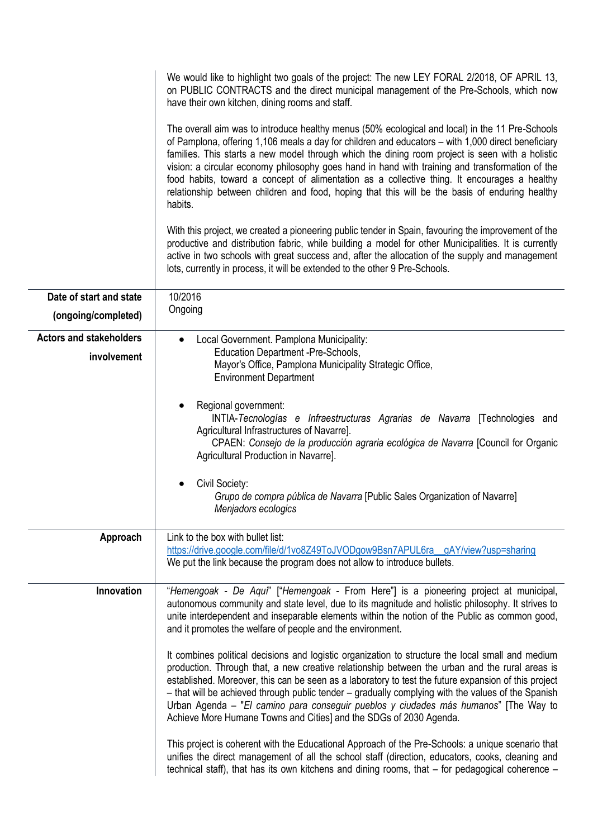|                                                | We would like to highlight two goals of the project: The new LEY FORAL 2/2018, OF APRIL 13,<br>on PUBLIC CONTRACTS and the direct municipal management of the Pre-Schools, which now<br>have their own kitchen, dining rooms and staff.                                                                                                                                                                                                                                                                                                                                                                                  |
|------------------------------------------------|--------------------------------------------------------------------------------------------------------------------------------------------------------------------------------------------------------------------------------------------------------------------------------------------------------------------------------------------------------------------------------------------------------------------------------------------------------------------------------------------------------------------------------------------------------------------------------------------------------------------------|
|                                                | The overall aim was to introduce healthy menus (50% ecological and local) in the 11 Pre-Schools<br>of Pamplona, offering 1,106 meals a day for children and educators – with 1,000 direct beneficiary<br>families. This starts a new model through which the dining room project is seen with a holistic<br>vision: a circular economy philosophy goes hand in hand with training and transformation of the<br>food habits, toward a concept of alimentation as a collective thing. It encourages a healthy<br>relationship between children and food, hoping that this will be the basis of enduring healthy<br>habits. |
|                                                | With this project, we created a pioneering public tender in Spain, favouring the improvement of the<br>productive and distribution fabric, while building a model for other Municipalities. It is currently<br>active in two schools with great success and, after the allocation of the supply and management<br>lots, currently in process, it will be extended to the other 9 Pre-Schools.                                                                                                                                                                                                                            |
| Date of start and state<br>(ongoing/completed) | 10/2016<br>Ongoing                                                                                                                                                                                                                                                                                                                                                                                                                                                                                                                                                                                                       |
| <b>Actors and stakeholders</b><br>involvement  | Local Government. Pamplona Municipality:<br>$\bullet$<br>Education Department -Pre-Schools,<br>Mayor's Office, Pamplona Municipality Strategic Office,<br><b>Environment Department</b>                                                                                                                                                                                                                                                                                                                                                                                                                                  |
|                                                | Regional government:<br>INTIA-Tecnologías e Infraestructuras Agrarias de Navarra [Technologies and<br>Agricultural Infrastructures of Navarre].<br>CPAEN: Consejo de la producción agraria ecológica de Navarra [Council for Organic<br>Agricultural Production in Navarre].                                                                                                                                                                                                                                                                                                                                             |
|                                                | Civil Society:<br>Grupo de compra pública de Navarra [Public Sales Organization of Navarre]<br>Menjadors ecologics                                                                                                                                                                                                                                                                                                                                                                                                                                                                                                       |
| Approach                                       | Link to the box with bullet list:<br>https://drive.google.com/file/d/1vo8Z49ToJVODgow9Bsn7APUL6ra_gAY/view?usp=sharing<br>We put the link because the program does not allow to introduce bullets.                                                                                                                                                                                                                                                                                                                                                                                                                       |
| Innovation                                     | "Hemengoak - De Aquí" ["Hemengoak - From Here"] is a pioneering project at municipal,<br>autonomous community and state level, due to its magnitude and holistic philosophy. It strives to<br>unite interdependent and inseparable elements within the notion of the Public as common good,<br>and it promotes the welfare of people and the environment.                                                                                                                                                                                                                                                                |
|                                                | It combines political decisions and logistic organization to structure the local small and medium<br>production. Through that, a new creative relationship between the urban and the rural areas is<br>established. Moreover, this can be seen as a laboratory to test the future expansion of this project<br>- that will be achieved through public tender - gradually complying with the values of the Spanish<br>Urban Agenda - "El camino para conseguir pueblos y ciudades más humanos" [The Way to<br>Achieve More Humane Towns and Cities] and the SDGs of 2030 Agenda.                                          |
|                                                | This project is coherent with the Educational Approach of the Pre-Schools: a unique scenario that<br>unifies the direct management of all the school staff (direction, educators, cooks, cleaning and<br>technical staff), that has its own kitchens and dining rooms, that - for pedagogical coherence -                                                                                                                                                                                                                                                                                                                |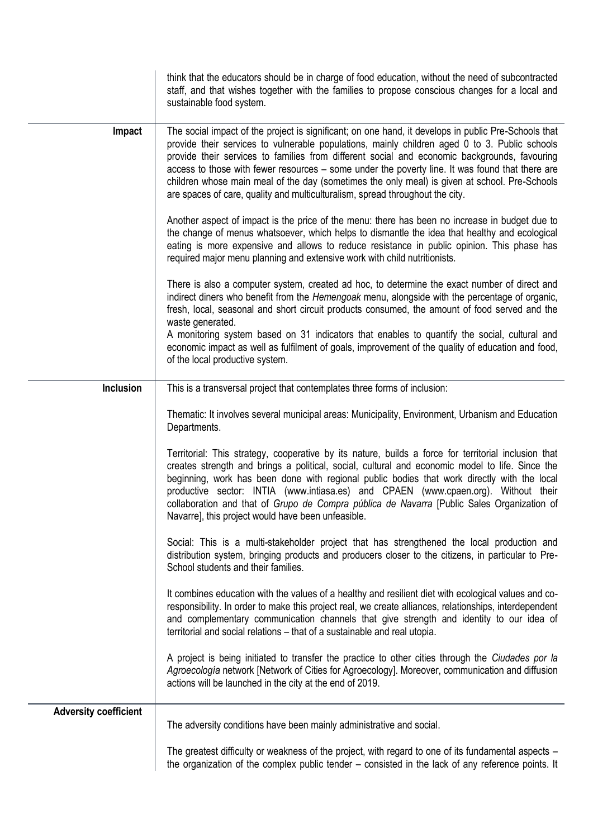|                              | think that the educators should be in charge of food education, without the need of subcontracted<br>staff, and that wishes together with the families to propose conscious changes for a local and<br>sustainable food system.                                                                                                                                                                                                                                                                                                                                                            |
|------------------------------|--------------------------------------------------------------------------------------------------------------------------------------------------------------------------------------------------------------------------------------------------------------------------------------------------------------------------------------------------------------------------------------------------------------------------------------------------------------------------------------------------------------------------------------------------------------------------------------------|
| Impact                       | The social impact of the project is significant; on one hand, it develops in public Pre-Schools that<br>provide their services to vulnerable populations, mainly children aged 0 to 3. Public schools<br>provide their services to families from different social and economic backgrounds, favouring<br>access to those with fewer resources – some under the poverty line. It was found that there are<br>children whose main meal of the day (sometimes the only meal) is given at school. Pre-Schools<br>are spaces of care, quality and multiculturalism, spread throughout the city. |
|                              | Another aspect of impact is the price of the menu: there has been no increase in budget due to<br>the change of menus whatsoever, which helps to dismantle the idea that healthy and ecological<br>eating is more expensive and allows to reduce resistance in public opinion. This phase has<br>required major menu planning and extensive work with child nutritionists.                                                                                                                                                                                                                 |
|                              | There is also a computer system, created ad hoc, to determine the exact number of direct and<br>indirect diners who benefit from the Hemengoak menu, alongside with the percentage of organic,<br>fresh, local, seasonal and short circuit products consumed, the amount of food served and the<br>waste generated.                                                                                                                                                                                                                                                                        |
|                              | A monitoring system based on 31 indicators that enables to quantify the social, cultural and<br>economic impact as well as fulfilment of goals, improvement of the quality of education and food,<br>of the local productive system.                                                                                                                                                                                                                                                                                                                                                       |
| <b>Inclusion</b>             | This is a transversal project that contemplates three forms of inclusion:                                                                                                                                                                                                                                                                                                                                                                                                                                                                                                                  |
|                              | Thematic: It involves several municipal areas: Municipality, Environment, Urbanism and Education<br>Departments.                                                                                                                                                                                                                                                                                                                                                                                                                                                                           |
|                              | Territorial: This strategy, cooperative by its nature, builds a force for territorial inclusion that<br>creates strength and brings a political, social, cultural and economic model to life. Since the<br>beginning, work has been done with regional public bodies that work directly with the local<br>productive sector: INTIA (www.intiasa.es) and CPAEN (www.cpaen.org). Without their<br>collaboration and that of Grupo de Compra pública de Navarra [Public Sales Organization of<br>Navarre], this project would have been unfeasible.                                           |
|                              | Social: This is a multi-stakeholder project that has strengthened the local production and<br>distribution system, bringing products and producers closer to the citizens, in particular to Pre-<br>School students and their families.                                                                                                                                                                                                                                                                                                                                                    |
|                              | It combines education with the values of a healthy and resilient diet with ecological values and co-<br>responsibility. In order to make this project real, we create alliances, relationships, interdependent<br>and complementary communication channels that give strength and identity to our idea of<br>territorial and social relations - that of a sustainable and real utopia.                                                                                                                                                                                                     |
|                              | A project is being initiated to transfer the practice to other cities through the Ciudades por la<br>Agroecología network [Network of Cities for Agroecology]. Moreover, communication and diffusion<br>actions will be launched in the city at the end of 2019.                                                                                                                                                                                                                                                                                                                           |
| <b>Adversity coefficient</b> | The adversity conditions have been mainly administrative and social.                                                                                                                                                                                                                                                                                                                                                                                                                                                                                                                       |
|                              | The greatest difficulty or weakness of the project, with regard to one of its fundamental aspects -<br>the organization of the complex public tender – consisted in the lack of any reference points. It                                                                                                                                                                                                                                                                                                                                                                                   |